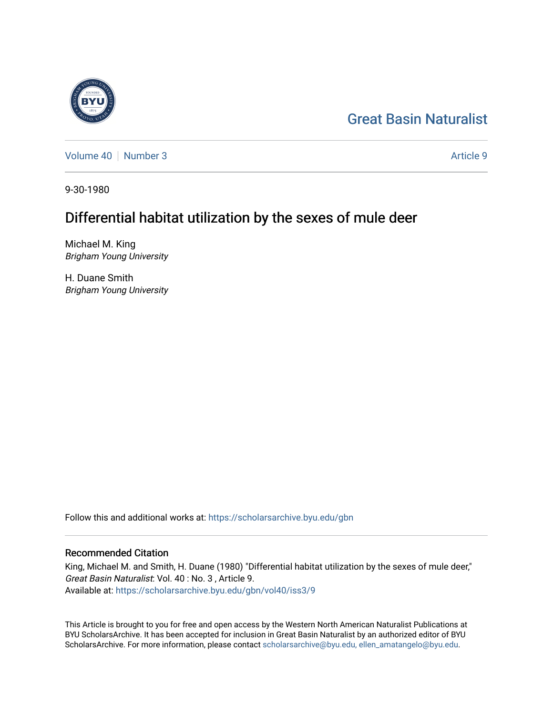# [Great Basin Naturalist](https://scholarsarchive.byu.edu/gbn)

[Volume 40](https://scholarsarchive.byu.edu/gbn/vol40) [Number 3](https://scholarsarchive.byu.edu/gbn/vol40/iss3) Article 9

9-30-1980

# Differential habitat utilization by the sexes of mule deer

Michael M. King Brigham Young University

H. Duane Smith Brigham Young University

Follow this and additional works at: [https://scholarsarchive.byu.edu/gbn](https://scholarsarchive.byu.edu/gbn?utm_source=scholarsarchive.byu.edu%2Fgbn%2Fvol40%2Fiss3%2F9&utm_medium=PDF&utm_campaign=PDFCoverPages) 

# Recommended Citation

King, Michael M. and Smith, H. Duane (1980) "Differential habitat utilization by the sexes of mule deer," Great Basin Naturalist: Vol. 40 : No. 3 , Article 9. Available at: [https://scholarsarchive.byu.edu/gbn/vol40/iss3/9](https://scholarsarchive.byu.edu/gbn/vol40/iss3/9?utm_source=scholarsarchive.byu.edu%2Fgbn%2Fvol40%2Fiss3%2F9&utm_medium=PDF&utm_campaign=PDFCoverPages)

This Article is brought to you for free and open access by the Western North American Naturalist Publications at BYU ScholarsArchive. It has been accepted for inclusion in Great Basin Naturalist by an authorized editor of BYU ScholarsArchive. For more information, please contact [scholarsarchive@byu.edu, ellen\\_amatangelo@byu.edu.](mailto:scholarsarchive@byu.edu,%20ellen_amatangelo@byu.edu)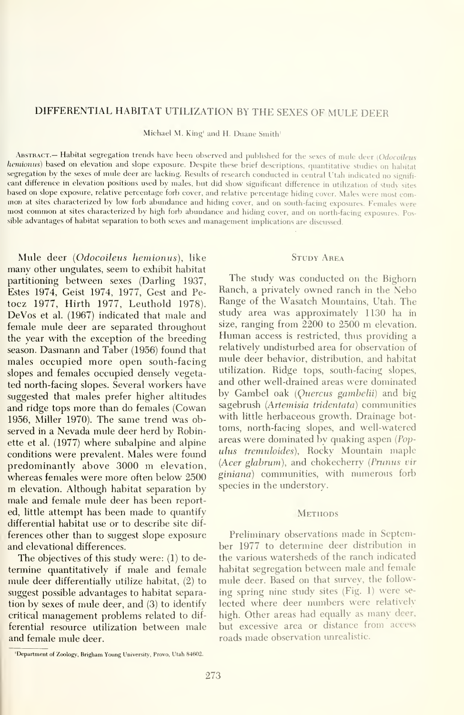## DIFFERENTIAL HABITAT UTILIZATION BY THE SEXES OF MULE DEER

Michael M. King' and H. Duane Smith'

ABSTRACT.- Habitat segregation trends have been observed and published for the sexes of mule deer (Odocoileus hcmionus) based on elevation and slope exposure. Despite these brief descriptions, quantitative studies on habitat segregation by the sexes of mule deer are lacking. Results of research conducted in central Utah indicated no significant difference in elevation positions used by males, but did show significant difference in utilization of study sites based on slope exposure, relative percentage forb cover, and relative percentage hiding cover. Males w mon at sites characterized by low forb abundance and hiding cover, and on south-facing exposures. Females were most common at sites characterized by high forb abundance and hiding cover, and on north-facing exposures. Possible advantages of habitat separation to both sexes and management implications are discussed.

Mule deer {Odocoileus hemionus), like many other ungulates, seem to exhibit habitat partitioning between sexes (Darling 1937, Estes 1974, Geist 1974, 1977, Gest and Pe tocz 1977, Hirth 1977, Leuthold 1978). DeVos et al. (1967) indicated that male and female mule deer are separated throughout the year with the exception of the breeding season. Dasmann and Taber (1956) found that males occupied more open south-facing slopes and females occupied densely vegetated north-facing slopes. Several workers have suggested that males prefer higher altitudes and ridge tops more than do females (Cowan 1956, Miller 1970). The same trend was observed in a Nevada mule deer herd by Robinette et al. (1977) where subalpine and alpine conditions were prevalent. Males were found predominantly above 3000 m elevation, whereas females were more often below 2500 m elevation. Although habitat separation by male and female mule deer has been reported, little attempt has been made to quantify differential habitat use or to describe site dif ferences other than to suggest slope exposure and elevational differences.

The objectives of this study were: (1) to de termine quantitatively if male and female mule deer differentially utilize habitat, (2) to suggest possible advantages to habitat separation by sexes of mule deer, and (3) to identify critical management problems related to dif ferential resource utilization between male and female mule deer.

#### STUDY AREA

The study was conducted on the Bighorn Ranch, a privately owned ranch in the Nebo Range of the Wasatch Mountains, Utah. The study area was approximately 1130 ha in size, ranging from 2200 to 2500 m elevation. Human access is restricted, thus providing <sup>a</sup> relatively undisturbed area for observation of mule deer behavior, distribution, and habitat utilization. Ridge tops, south-facing slopes, and other well-drained areas were dominated by Gambel oak (Quercus gambelii) and big sagebrush (Artemisia tridentata) communities with little herbaceous growth. Drainage bot toms, north-facing slopes, and well-watered areas were dominated by quaking aspen {Pop ulus tremuloides). Rocky Mountain maple  $(Acer \; glabrum)$ , and chokecherry (Prunus vir giniana) communities, with numerous forb species in the understory.

### **METHODS**

Preliminary observations made in September 1977 to determine deer distribution in the various watersheds of the ranch indicated habitat segregation between male and female mule deer. Based on that survey, the follow ing spring nine study sites (Fig. 1) were se lected where deer numbers were relatively high. Other areas had equally as many deer, but excessive area or distance from access roads made observation unrealistic.

<sup>&#</sup>x27;Department of Zoology, Brigham Young University. Provo, Utah 84602.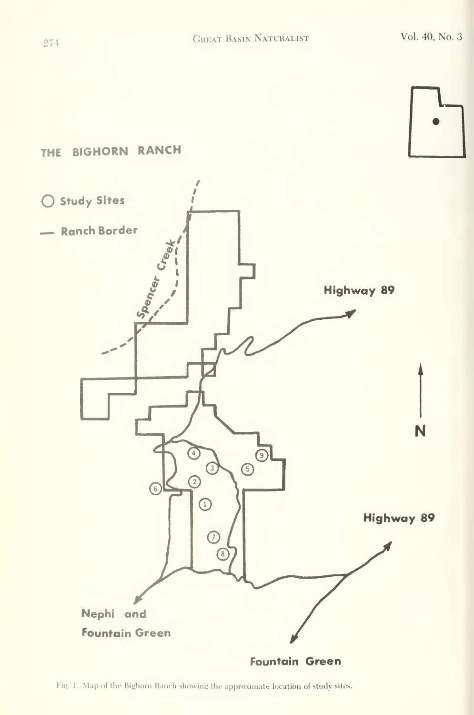



Fig. 1. Map of the Bighorn Ranch showing the approximate location of study sites.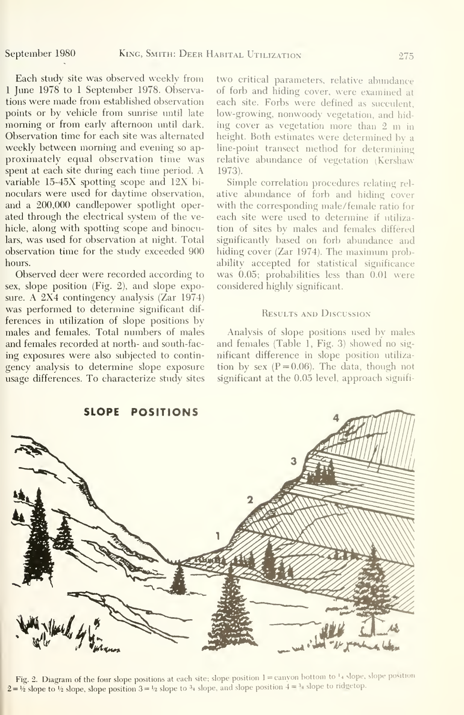Each study site was observed weekly from <sup>1</sup> June 1978 to <sup>1</sup> September 1978. Observations were made from established observation points or by vehicle from sunrise until late morning or from early afternoon until dark. Observation time for each site was alternated weekly between morning and evening so ap proximately equal observation time was spent at each site during each time period. A variable 15-45X spotting scope and 12X bi noculars were used for daytime observation, and a 200,000 candlepower spotlight operated through the electrical system of the vehicle, along with spotting scope and binoculars, was used for observation at night. Total observation time for the study exceeded 900 hours.

Observed deer were recorded according to sex, slope position (Fig. 2), and slope exposure. A 2X4 contingency analysis (Zar 1974) was performed to determine significant dif ferences in utilization of slope positions by males and females. Total numbers of males and females recorded at north- and south-fac ing exposures were also subjected to contingency analysis to determine slope exposure usage differences. To characterize study sites two critical parameters, relative abundance of forb and hiding cover, were examined at each site. Forbs were defined as succulent, low-growing, nonwoody vegetation, and hid ing cover as vegetation more than <sup>2</sup> m in height. Both estimates were determined by a line-point transect method for determining relative abundance of vegetation (Kershaw 1973).

Simple correlation procedures relating rel ative abundance of forb and hiding cover with the corresponding male/female ratio for each site were used to determine if utiliza tion of sites by males and females differed significantly based on forb abundance and hiding cover (Zar 1974). The maximum probability accepted for statistical significance was 0.05; probabilities less than 0.01 were considered highly significant.

## Results and Discussion

Analysis of slope positions used by males and females (Table 1, Fig. 3) showed no sig nificant difference in slope position utiliza tion by sex  $(P=0.06)$ . The data, though not significant at the 0.05 level, approach signifi-



Fig. 2. Diagram of the four slope positions at each site; slope position  $1 =$  canyon bottom to  $\frac{1}{4}$  slope, slope position  $2 = \frac{1}{2}$  slope to  $\frac{1}{2}$  slope, slope position  $3 = \frac{1}{2}$  slope to  $\frac{3}{4}$  slope, and slope position  $4 = \frac{3}{4}$  slope to ridgetop.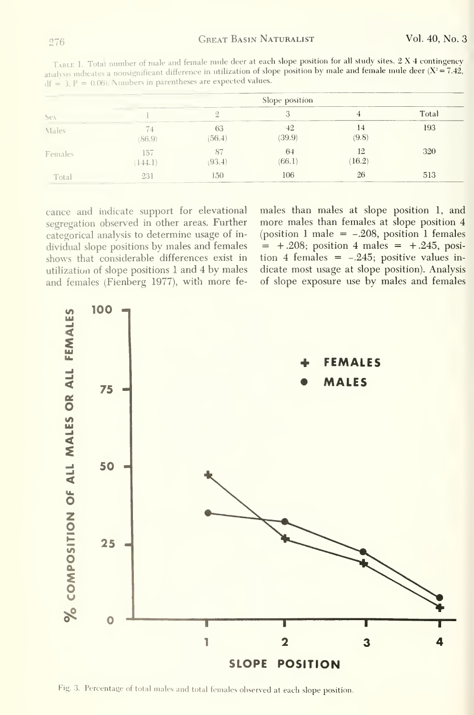TABLE 1. Total number of male and female mule deer at each slope position for all study sites. 2 X 4 contingency analysis indicates a nonsignificant difference in utilization of slope position by male and female mule deer  $(X^2 = 7.42)$ ,  $df = 3$ ,  $P = 0.06$ ). Numbers in parentheses are expected values.

|         | Slope position |               |              |              |       |  |
|---------|----------------|---------------|--------------|--------------|-------|--|
| Sex     |                |               |              |              | Total |  |
| Males   | 74<br>(86.9)   | 63<br>(56.4)  | 42<br>(39.9) | 14<br>(9.8)  | 193   |  |
| Females | 157<br>(144.1) | 87<br>(93, 4) | 64<br>(66.1) | 12<br>(16.2) | 320   |  |
| Total   | 231            | 150           | 106          | 26           | 513   |  |

cance and indicate support for elevational segregation observed in other areas. Further categorical analysis to determine usage of individual slope positions by males and females shows that considerable differences exist in utilization of slope positions 1 and 4 by males and females (Fienberg 1977), with more females than males at slope position 1, and more males than females at slope position 4 (position 1 male  $=$  -.208, position 1 females  $= +0.208$ ; position 4 males  $= +0.245$ , position 4 females =  $-.245$ ; positive values indicate most usage at slope position). Analysis of slope exposure use by males and females



Fig. 3. Percentage of total males and total females observed at each slope position.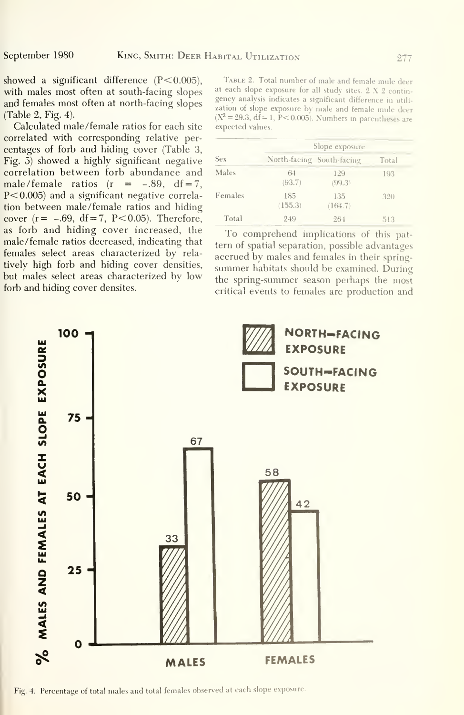showed a significant difference  $(P< 0.005)$ , with males most often at south-facing slopes and females most often at north-facing slopes (Table 2, Fig. 4).

Calculated male /female ratios for each site correlated with corresponding relative per centages of forb and hiding cover (Table 3, Fig. 5) showed a highly significant negative correlation between forb abundance and male/female ratios  $(r = -.89, df = 7,$  $P<0.005$ ) and a significant negative correlation between male/female ratios and hiding cover  $(r=-.69, df=7, P<0.05)$ . Therefore, as forb and hiding cover increased, the male/female ratios decreased, indicating that tern of spatial separation, possible advantages females select areas characterized by rela-<br>accrued by males and females in their springtively high forb and hiding cover densities, summer habitats should be examined. During but males select areas characterized by low the spring-summer season perhaps the most forb and hiding cover densites.

Table 2. Total number of male and female mule deer at each slope exposure for all study sites. 2 X 2 contingency analysis indicates a significant difference in utili zation of slope exposure bv male and female mule deer  $(X^2 = 29.3, df = 1, P < 0.005)$ . Numbers in parentheses are expected values.

|            | Slope exposure |                           |       |  |  |
|------------|----------------|---------------------------|-------|--|--|
| <b>Sex</b> |                | North-facing South-facing | Total |  |  |
| Males      | 64<br>(93.7)   | 129<br>(99.3)             | 193   |  |  |
| Females    | 185<br>(155.3) | 135<br>(164.7)            | 320   |  |  |
| Total      | 249            | 264                       | 513   |  |  |

To comprehend implications of this patcritical events to females are production and



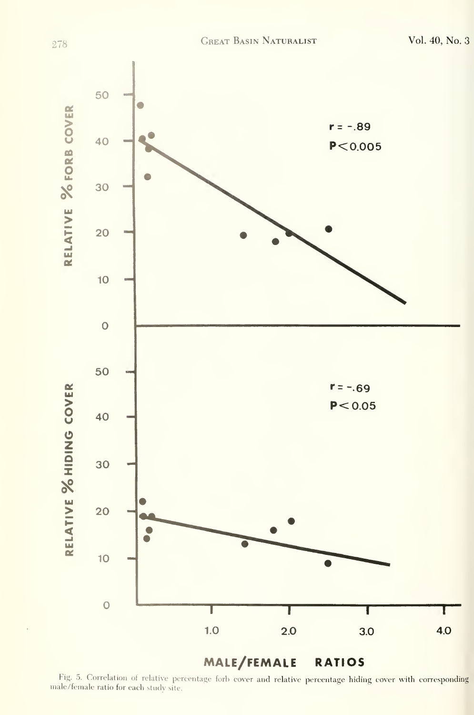

Fig. 5. Correlation of relative percentage forb cover and relative percentage hiding cover with corresponding male/female ratio for each study site.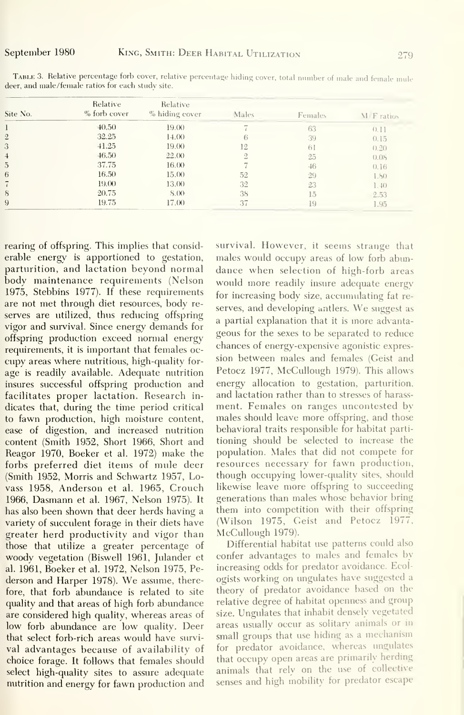| Site No.       | Relative<br>% forb cover | Relative<br>% hiding cover | Males          | Females | M F ratios |
|----------------|--------------------------|----------------------------|----------------|---------|------------|
|                | 40,50                    | 19.00                      |                | 63      | (0, 1)     |
| $\overline{2}$ | 32.25                    | 14.00                      | 6              | 39      | 0.15       |
| 3              | $-41.25$                 | 19.00                      | 12             | 61      | (1, 2)     |
| $\overline{4}$ | 46.50                    | 22.00                      | $\overline{2}$ | 25      | 0.05       |
| $\overline{5}$ | 37.75                    | 16.00                      |                | 46      | 0.16       |
| 6              | 16.50                    | 15.00                      | 52             | 29      | 1.80       |
|                | 19.00                    | 13.00                      | 32             | 23      | 1.40       |
| 8              | 20.75                    | 8.00                       | 38             | 15      | 2.53       |
| 9              | 19.75                    | 17.00                      | 37             | 19      | 1.95       |

TABLE 3. Relative percentage forb cover, relative percentage hiding cover, total number of male and female mule deer, and male/female ratios for each study site.

rearing of offspring. This implies that considerable energy is apportioned to gestation, parturition, and lactation beyond normal body maintenance requirements (Nelson 1975, Stebbins 1977). If these requirements are not met through diet resources, body reserves are utilized, thus reducing offspring vigor and survival. Since energy demands for offspring production exceed normal energy requirements, it is important that females occupy areas where nutritious, high-quality forage is readily available. Adequate nutrition insures successful offspring production and facilitates proper lactation. Research indicates that, during the time period critical to fawn production, high moisture content, ease of digestion, and increased nutrition content (Smith 1952, Short 1966, Short and Reagor 1970, Boeker et al. 1972) make the forbs preferred diet items of mule deer (Smith 1952, Morris and Schwartz 1957, Lovass 1958, Anderson et al. 1965, Crouch 1966, Dasmann et al. 1967, Nelson 1975). It has also been shown that deer herds having a variety of succulent forage in their diets have greater herd productivity and vigor than those that utilize a greater percentage of woody vegetation (Biswell 1961, Julander et al. 1961, Boeker et al. 1972, Nelson 1975, Pederson and Harper 1978). We assume, therefore, that forb abundance is related to site quality and that areas of high forb abundance are considered high quality, whereas areas of low forb abundance are low quality. Deer that select forb-rich areas would have survival advantages because of availability of choice forage. It follows that females should select high-quality sites to assure adequate nutrition and energy for fawn production and survival. However, it seems strange that males would occupy areas of low forb abundance when selection of high-forb areas would more readily insure adequate energy for increasing body size, accumulating fat reserves, and developing antlers. We suggest as a partial explanation that it is more advantageous for the sexes to be separated to reduce chances of energy-expensive agonistic expression between males and females (Geist and Petocz 1977, McCullough 1979). This allows energy allocation to gestation, parturition, and lactation rather than to stresses of harassment. Females on ranges uncontested by males should leave more offspring, and those behavioral traits responsible for habitat partitioning should be selected to increase the population. Males that did not compete for resources necessary for fawn production, though occupying lower-quality sites, should likewise leave more offspring to succeeding generations than males whose behavior bring them into competition with their offspring (Wilson 1975, Geist and Petocz 1977, McCullough 1979).

Differential habitat use patterns could also confer advantages to males and females by increasing odds for predator avoidance. Ecologists working on ungulates have suggested a theory of predator avoidance based on the relative degree of habitat openness and group size. Ungulates that inhabit densely vegetated areas usually occur as solitary animals or in small groups that use hiding as a mechanism for predator avoidance, whereas ungulates that occupy open areas are primarily herding animals that rely on the use of collective senses and high mobility for predator escape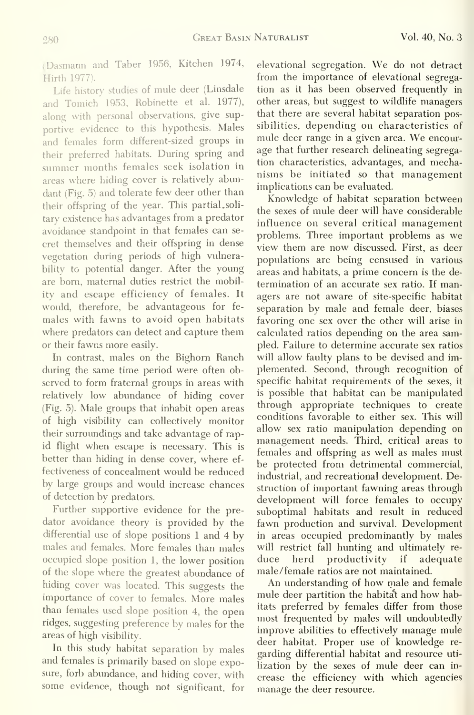(Dasmann and Taber 1956, Kitchen 1974, Hirth 1977).

Life history studies of mule deer (Linsdale and Tomich 1953, Robinette et al. 1977), along with personal observations, give supportive evidence to this hypothesis. Males and females form different-sized groups in their preferred habitats. During spring and summer months females seek isolation in areas where hiding cover is relatively abundant (Fig. 5) and tolerate few deer other than their offspring of the year. This partial. soli tary existence has advantages from a predator avoidance standpoint in that females can se cret themselves and their offspring in dense vegetation during periods of high vulnerability to potential danger. After the young are bom, maternal duties restrict the mobility and escape efficiency of females. It would, therefore, be advantageous for fe males with fawns to avoid open habitats where predators can detect and capture them or their fawns more easily.

In contrast, males on the Bighorn Ranch during the same time period were often observed to form fraternal groups in areas with relatively low abundance of hiding cover (Fig. 5). Male groups that inhabit open areas of high visibility can collectively monitor their surroundings and take advantage of rapid flight when escape is necessary. This is better than hiding in dense cover, where ef fectiveness of concealment would be reduced by large groups and would increase chances of detection by predators.

Further supportive evidence for the predator avoidance theory is provided by the differential use of slope positions <sup>1</sup> and 4 by males and females. More females than males occupied slope position 1, the lower position of the slope where the greatest abundance of hiding cover was located. This suggests the importance of cover to females. More males than females used slope position 4, the open ridges, suggesting preference by males for the areas of high visibility.

In this study habitat separation by males and females is primarily based on slope exposure, forb abundance, and hiding cover, with some evidence, though not significant, for elevational segregation. We do not detract from the importance of elevational segregation as it has been observed frequently in other areas, but suggest to wildlife managers that there are several habitat separation possibilities, depending on characteristics of mule deer range in <sup>a</sup> given area. We encour age that further research delineating segregation characteristics, advantages, and mechanisms be initiated so that management implications can be evaluated.

Knowledge of habitat separation between the sexes of mule deer will have considerable influence on several critical management problems. Three important problems as we view them are now discussed. First, as deer populations are being censused in various areas and habitats, a prime concern is the de termination of an accurate sex ratio. If managers are not aware of site-specific habitat separation by male and female deer, biases favoring one sex over the other will arise in calculated ratios depending on the area sampled. Failure to determine accurate sex ratios will allow faulty plans to be devised and implemented. Second, through recognition of specific habitat requirements of the sexes, it is possible that habitat can be manipulated through appropriate techniques to create conditions favorable to either sex. This will allow sex ratio manipulation depending on management needs. Third, critical areas to females and offspring as well as males must be protected from detrimental commercial, industrial, and recreational development. Destruction of important fawning areas through development will force females to occupy suboptimal habitats and result in reduced fawn production and survival. Development in areas occupied predominantly by males will restrict fall hunting and ultimately re herd productivity if adequate male/female ratios are not maintained.

An understanding of how male and female mule deer partition the habitat and how habitats preferred by females differ from those most frequented by males will undoubtedly improve abilities to effectively manage mule deer habitat. Proper use of knowledge re garding differential habitat and resource uti lization by the sexes of mule deer can in crease the efficiency with which agencies manage the deer resource.